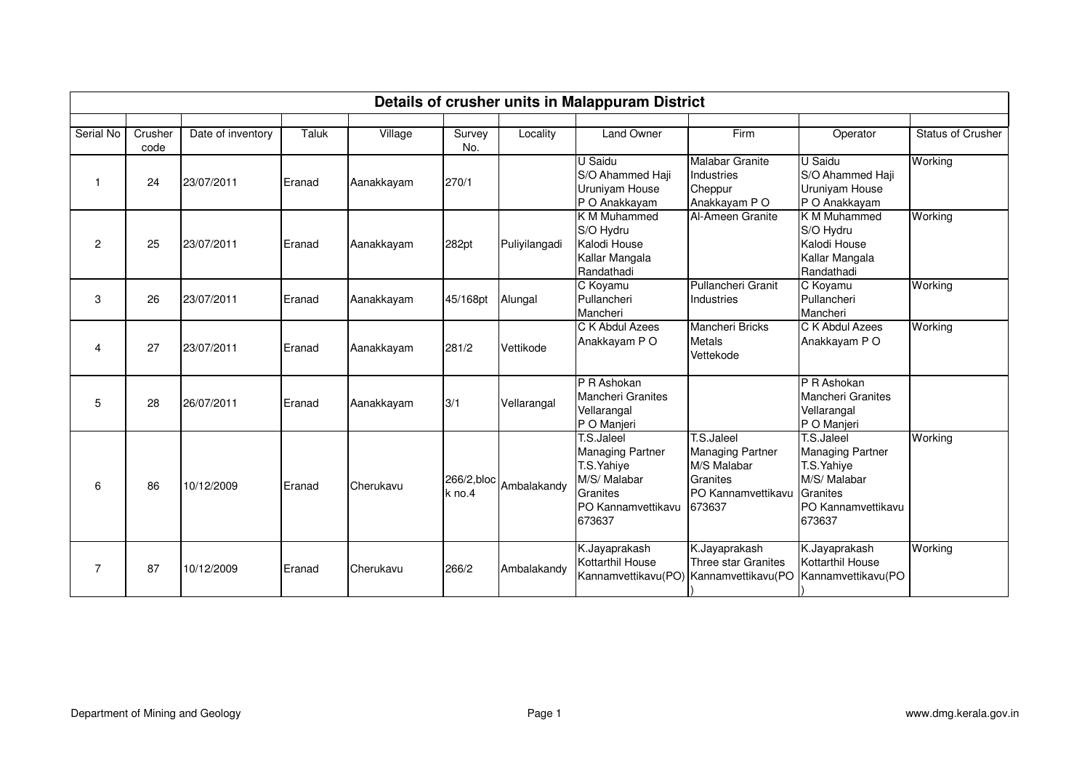|                |         |                   |        |            |                      |               | Details of crusher units in Malappuram District                                                                  |                                                                                                  |                                                                                                                  |                          |
|----------------|---------|-------------------|--------|------------|----------------------|---------------|------------------------------------------------------------------------------------------------------------------|--------------------------------------------------------------------------------------------------|------------------------------------------------------------------------------------------------------------------|--------------------------|
| Serial No      | Crusher | Date of inventory | Taluk  | Village    | Survey               | Locality      | <b>Land Owner</b>                                                                                                | Firm                                                                                             | Operator                                                                                                         | <b>Status of Crusher</b> |
|                | code    |                   |        |            | No.                  |               |                                                                                                                  |                                                                                                  |                                                                                                                  |                          |
|                | 24      | 23/07/2011        | Eranad | Aanakkayam | 270/1                |               | U Saidu<br>S/O Ahammed Haji<br>Uruniyam House<br>P O Anakkayam                                                   | <b>Malabar Granite</b><br>Industries<br>Cheppur<br>Anakkayam P O                                 | U Saidu<br>S/O Ahammed Haji<br>Uruniyam House<br>P O Anakkayam                                                   | Working                  |
| $\overline{2}$ | 25      | 23/07/2011        | Eranad | Aanakkayam | 282pt                | Puliyilangadi | <b>K</b> M Muhammed<br>S/O Hydru<br>Kalodi House<br>Kallar Mangala<br>Randathadi                                 | Al-Ameen Granite                                                                                 | K M Muhammed<br>S/O Hydru<br>Kalodi House<br>Kallar Mangala<br>Randathadi                                        | Working                  |
| 3              | 26      | 23/07/2011        | Eranad | Aanakkayam | 45/168pt             | Alungal       | C Koyamu<br>Pullancheri<br>Mancheri                                                                              | Pullancheri Granit<br>Industries                                                                 | C Koyamu<br>Pullancheri<br>Mancheri                                                                              | Working                  |
| 4              | 27      | 23/07/2011        | Eranad | Aanakkayam | 281/2                | Vettikode     | C K Abdul Azees<br>Anakkayam P O                                                                                 | <b>Mancheri Bricks</b><br><b>Metals</b><br>Vettekode                                             | C K Abdul Azees<br>Anakkayam P O                                                                                 | Working                  |
| 5              | 28      | 26/07/2011        | Eranad | Aanakkayam | 3/1                  | Vellarangal   | P R Ashokan<br><b>Mancheri Granites</b><br>Vellarangal<br>P O Manjeri                                            |                                                                                                  | P R Ashokan<br><b>Mancheri Granites</b><br>Vellarangal<br>P O Manjeri                                            |                          |
| 6              | 86      | 10/12/2009        | Eranad | Cherukavu  | 266/2,bloc<br>k no.4 | Ambalakandy   | T.S.Jaleel<br><b>Managing Partner</b><br>T.S. Yahiye<br>M/S/ Malabar<br>Granites<br>PO Kannamvettikavu<br>673637 | T.S.Jaleel<br><b>Managing Partner</b><br>M/S Malabar<br>Granites<br>PO Kannamvettikavu<br>673637 | T.S.Jaleel<br><b>Managing Partner</b><br>T.S. Yahiye<br>M/S/ Malabar<br>Granites<br>PO Kannamvettikavu<br>673637 | Working                  |
| $\overline{7}$ | 87      | 10/12/2009        | Eranad | Cherukavu  | 266/2                | Ambalakandy   | K.Jayaprakash<br>Kottarthil House<br>Kannamvettikavu(PO)                                                         | K.Jayaprakash<br><b>Three star Granites</b><br>Kannamvettikavu(PO                                | K.Jayaprakash<br><b>Kottarthil House</b><br>Kannamvettikavu(PO                                                   | Working                  |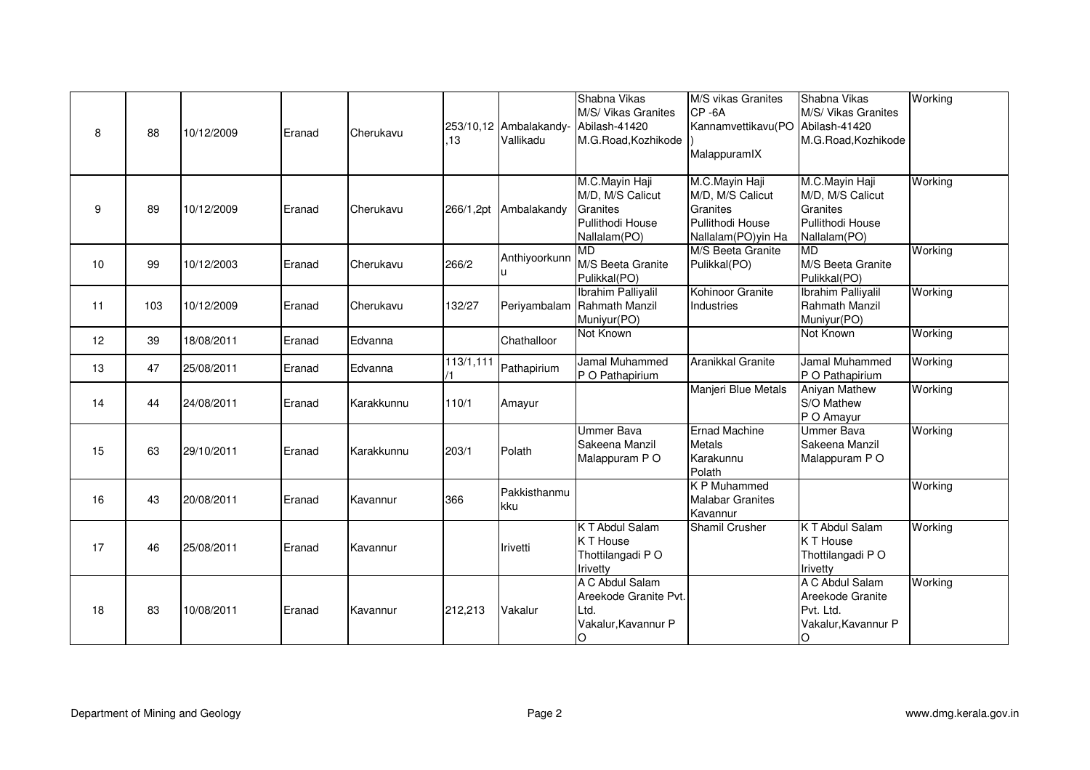| 8  | 88  | 10/12/2009 | Eranad | Cherukavu  | .13       | 253/10,12 Ambalakandy-<br>Vallikadu | Shabna Vikas<br>M/S/ Vikas Granites<br>Abilash-41420<br>M.G.Road, Kozhikode        | M/S vikas Granites<br>CP-6A<br>Kannamvettikavu(PO<br>MalappuramIX                        | Shabna Vikas<br>M/S/ Vikas Granites<br>Abilash-41420<br>M.G.Road, Kozhikode        | Working |
|----|-----|------------|--------|------------|-----------|-------------------------------------|------------------------------------------------------------------------------------|------------------------------------------------------------------------------------------|------------------------------------------------------------------------------------|---------|
| 9  | 89  | 10/12/2009 | Eranad | Cherukavu  | 266/1,2pt | Ambalakandy                         | M.C.Mayin Haji<br>M/D, M/S Calicut<br>Granites<br>Pullithodi House<br>Nallalam(PO) | M.C.Mayin Haji<br>M/D, M/S Calicut<br>Granites<br>Pullithodi House<br>Nallalam(PO)yin Ha | M.C.Mayin Haji<br>M/D, M/S Calicut<br>Granites<br>Pullithodi House<br>Nallalam(PO) | Working |
| 10 | 99  | 10/12/2003 | Eranad | Cherukavu  | 266/2     | Anthiyoorkunn                       | $\overline{\mathsf{MD}}$<br>M/S Beeta Granite<br>Pulikkal(PO)                      | M/S Beeta Granite<br>Pulikkal(PO)                                                        | <b>MD</b><br>M/S Beeta Granite<br>Pulikkal(PO)                                     | Working |
| 11 | 103 | 10/12/2009 | Eranad | Cherukavu  | 132/27    | Periyambalam                        | <b>Ibrahim Palliyalil</b><br>Rahmath Manzil<br>Muniyur(PO)                         | Kohinoor Granite<br>Industries                                                           | <b>Ibrahim Palliyalil</b><br>Rahmath Manzil<br>Muniyur(PO)                         | Working |
| 12 | 39  | 18/08/2011 | Eranad | Edvanna    |           | Chathalloor                         | Not Known                                                                          |                                                                                          | Not Known                                                                          | Working |
| 13 | 47  | 25/08/2011 | Eranad | Edvanna    | 113/1,111 | Pathapirium                         | Jamal Muhammed<br>P O Pathapirium                                                  | Aranikkal Granite                                                                        | Jamal Muhammed<br>P O Pathapirium                                                  | Working |
| 14 | 44  | 24/08/2011 | Eranad | Karakkunnu | 110/1     | Amayur                              |                                                                                    | Manjeri Blue Metals                                                                      | <b>Aniyan Mathew</b><br>S/O Mathew<br>P O Amayur                                   | Working |
| 15 | 63  | 29/10/2011 | Eranad | Karakkunnu | 203/1     | Polath                              | <b>Ummer Bava</b><br>Sakeena Manzil<br>Malappuram PO                               | <b>Ernad Machine</b><br><b>Metals</b><br>Karakunnu<br>Polath                             | <b>Ummer Bava</b><br>Sakeena Manzil<br>Malappuram P O                              | Working |
| 16 | 43  | 20/08/2011 | Eranad | Kavannur   | 366       | Pakkisthanmu<br>kku                 |                                                                                    | <b>KP Muhammed</b><br><b>Malabar Granites</b><br>Kavannur                                |                                                                                    | Working |
| 17 | 46  | 25/08/2011 | Eranad | Kavannur   |           | <b>Irivetti</b>                     | <b>KT Abdul Salam</b><br>K T House<br>Thottilangadi PO<br>Irivetty                 | <b>Shamil Crusher</b>                                                                    | <b>KT Abdul Salam</b><br>K T House<br>Thottilangadi PO<br>Irivetty                 | Working |
| 18 | 83  | 10/08/2011 | Eranad | Kavannur   | 212,213   | Vakalur                             | A C Abdul Salam<br>Areekode Granite Pvt.<br>Ltd.<br>Vakalur, Kavannur P<br>O       |                                                                                          | A C Abdul Salam<br>Areekode Granite<br>Pvt. Ltd.<br>Vakalur, Kavannur P<br>O       | Working |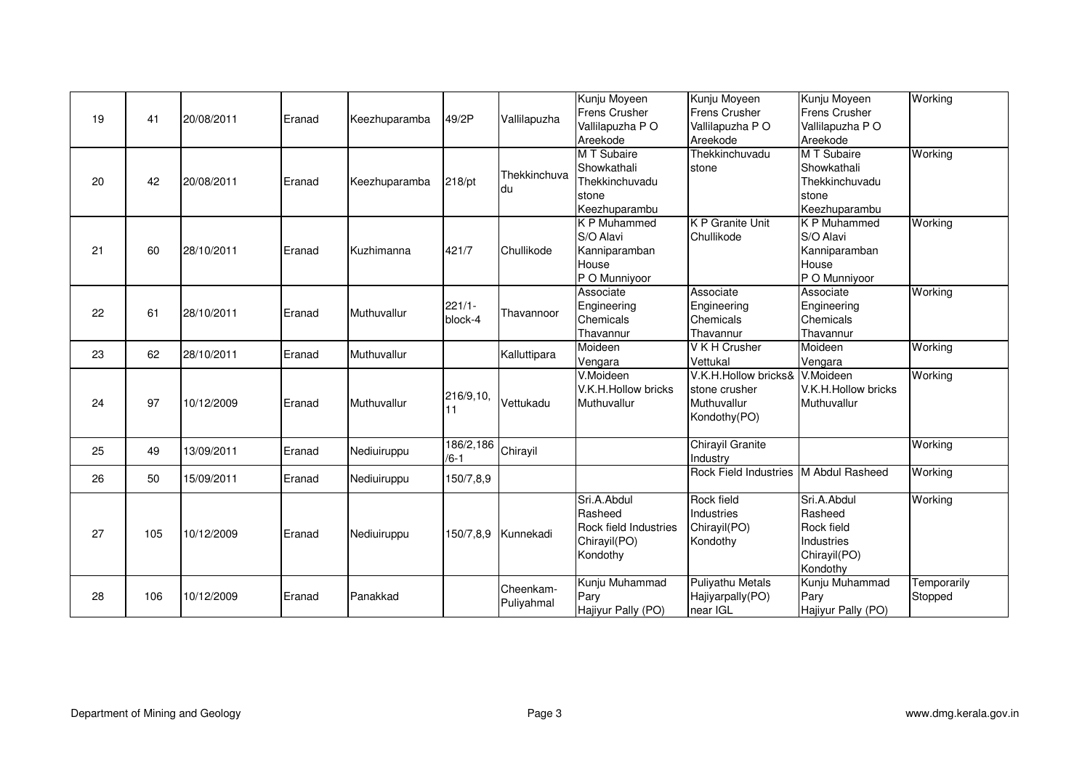| 19 | 41  | 20/08/2011 | Eranad | Keezhuparamba | 49/2P                 | Vallilapuzha            | Kunju Moyeen<br><b>Frens Crusher</b><br>Vallilapuzha PO<br>Areekode         | Kunju Moyeen<br><b>Frens Crusher</b><br>Vallilapuzha PO<br>Areekode            | Kunju Moyeen<br><b>Frens Crusher</b><br>Vallilapuzha PO<br>Areekode            | Working                |
|----|-----|------------|--------|---------------|-----------------------|-------------------------|-----------------------------------------------------------------------------|--------------------------------------------------------------------------------|--------------------------------------------------------------------------------|------------------------|
| 20 | 42  | 20/08/2011 | Eranad | Keezhuparamba | 218/pt                | Thekkinchuva<br>du      | M T Subaire<br>Showkathali<br>Thekkinchuvadu<br>stone<br>Keezhuparambu      | Thekkinchuvadu<br>stone                                                        | M T Subaire<br>Showkathali<br>Thekkinchuvadu<br>stone<br>Keezhuparambu         | Working                |
| 21 | 60  | 28/10/2011 | Eranad | Kuzhimanna    | 421/7                 | Chullikode              | K P Muhammed<br>S/O Alavi<br>Kanniparamban<br>House<br>P O Munniyoor        | <b>K P Granite Unit</b><br>Chullikode                                          | K P Muhammed<br>S/O Alavi<br>Kanniparamban<br>House<br>P O Munniyoor           | Working                |
| 22 | 61  | 28/10/2011 | Eranad | Muthuvallur   | $221/1 -$<br>block-4  | Thavannoor              | Associate<br>Engineering<br>Chemicals<br>Thavannur                          | Associate<br>Engineering<br>Chemicals<br>Thavannur                             | Associate<br>Engineering<br>Chemicals<br>Thavannur                             | Working                |
| 23 | 62  | 28/10/2011 | Eranad | Muthuvallur   |                       | Kalluttipara            | Moideen<br>Vengara                                                          | V K H Crusher<br>Vettukal                                                      | Moideen<br>Vengara                                                             | Working                |
| 24 | 97  | 10/12/2009 | Eranad | Muthuvallur   | 216/9,10,<br>11       | Vettukadu               | V.Moideen<br>V.K.H.Hollow bricks<br>Muthuvallur                             | V.K.H.Hollow bricks& V.Moideen<br>stone crusher<br>Muthuvallur<br>Kondothy(PO) | V.K.H.Hollow bricks<br>Muthuvallur                                             | Working                |
| 25 | 49  | 13/09/2011 | Eranad | Nediuiruppu   | 186/2,186<br>$/6 - 1$ | Chirayil                |                                                                             | Chirayil Granite<br>Industry                                                   |                                                                                | Working                |
| 26 | 50  | 15/09/2011 | Eranad | Nediuiruppu   | 150/7,8,9             |                         |                                                                             | Rock Field Industries M Abdul Rasheed                                          |                                                                                | Working                |
| 27 | 105 | 10/12/2009 | Eranad | Nediuiruppu   | 150/7.8.9             | Kunnekadi               | Sri.A.Abdul<br>Rasheed<br>Rock field Industries<br>Chirayil(PO)<br>Kondothy | Rock field<br>Industries<br>Chirayil(PO)<br>Kondothy                           | Sri.A.Abdul<br>Rasheed<br>Rock field<br>Industries<br>Chirayil(PO)<br>Kondothy | Working                |
| 28 | 106 | 10/12/2009 | Eranad | Panakkad      |                       | Cheenkam-<br>Puliyahmal | Kunju Muhammad<br>Pary<br>Hajiyur Pally (PO)                                | <b>Puliyathu Metals</b><br>Hajiyarpally(PO)<br>near IGL                        | Kunju Muhammad<br>Pary<br>Hajiyur Pally (PO)                                   | Temporarily<br>Stopped |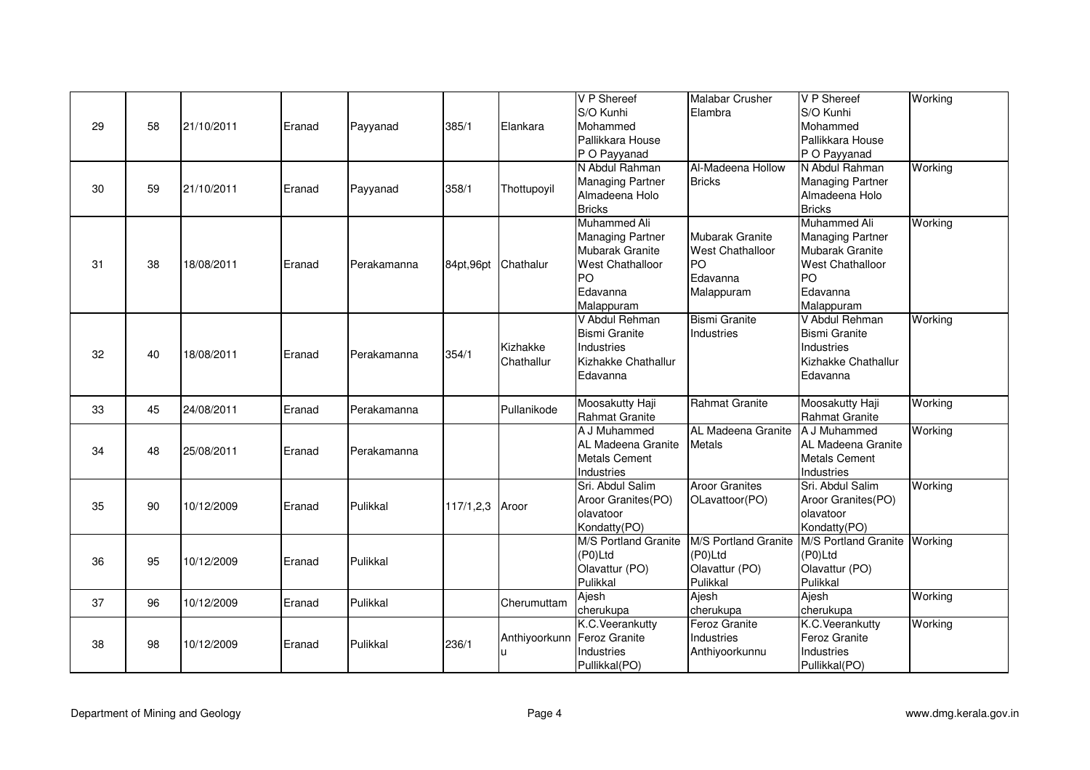|    |    |            |        |             |             |               | V P Shereef<br>S/O Kunhi       | <b>Malabar Crusher</b><br>Elambra | V P Shereef<br>S/O Kunhi       | Working |
|----|----|------------|--------|-------------|-------------|---------------|--------------------------------|-----------------------------------|--------------------------------|---------|
| 29 | 58 | 21/10/2011 | Eranad | Payyanad    | 385/1       | Elankara      | Mohammed                       |                                   | Mohammed                       |         |
|    |    |            |        |             |             |               | Pallikkara House               |                                   | Pallikkara House               |         |
|    |    |            |        |             |             |               | P O Payyanad                   |                                   | P O Payyanad                   |         |
|    |    |            |        |             |             |               | N Abdul Rahman                 | Al-Madeena Hollow                 | N Abdul Rahman                 | Working |
|    |    |            |        |             |             |               | <b>Managing Partner</b>        | <b>Bricks</b>                     | <b>Managing Partner</b>        |         |
| 30 | 59 | 21/10/2011 | Eranad | Payyanad    | 358/1       | Thottupoyil   | Almadeena Holo                 |                                   | Almadeena Holo                 |         |
|    |    |            |        |             |             |               | <b>Bricks</b>                  |                                   | <b>Bricks</b>                  |         |
|    |    |            |        |             |             |               | Muhammed Ali                   |                                   | Muhammed Ali                   | Working |
|    |    |            |        |             |             |               | <b>Managing Partner</b>        | Mubarak Granite                   | <b>Managing Partner</b>        |         |
|    |    |            |        |             |             |               | Mubarak Granite                | <b>West Chathalloor</b>           | Mubarak Granite                |         |
| 31 | 38 | 18/08/2011 | Eranad | Perakamanna | 84pt, 96pt  | Chathalur     | West Chathalloor               | PO                                | <b>West Chathalloor</b>        |         |
|    |    |            |        |             |             |               | PO                             | Edavanna                          | PO                             |         |
|    |    |            |        |             |             |               | Edavanna                       | Malappuram                        | Edavanna                       |         |
|    |    |            |        |             |             |               | Malappuram                     |                                   | Malappuram                     |         |
|    |    |            |        |             |             |               | V Abdul Rehman                 | <b>Bismi Granite</b>              | V Abdul Rehman                 | Working |
|    |    |            |        |             |             |               | <b>Bismi Granite</b>           | Industries                        | <b>Bismi Granite</b>           |         |
| 32 | 40 | 18/08/2011 | Eranad | Perakamanna | 354/1       | Kizhakke      | <b>Industries</b>              |                                   | Industries                     |         |
|    |    |            |        |             |             | Chathallur    | Kizhakke Chathallur            |                                   | Kizhakke Chathallur            |         |
|    |    |            |        |             |             |               | Edavanna                       |                                   | Edavanna                       |         |
|    |    |            |        |             |             |               |                                |                                   |                                |         |
| 33 | 45 | 24/08/2011 | Eranad | Perakamanna |             | Pullanikode   | Moosakutty Haji                | Rahmat Granite                    | Moosakutty Haji                | Working |
|    |    |            |        |             |             |               | Rahmat Granite<br>A J Muhammed | AL Madeena Granite                | Rahmat Granite<br>A J Muhammed | Working |
|    |    |            |        |             |             |               | AL Madeena Granite             | <b>Metals</b>                     | AL Madeena Granite             |         |
| 34 | 48 | 25/08/2011 | Eranad | Perakamanna |             |               | <b>Metals Cement</b>           |                                   | <b>Metals Cement</b>           |         |
|    |    |            |        |             |             |               | Industries                     |                                   | Industries                     |         |
|    |    |            |        |             |             |               | Sri. Abdul Salim               | <b>Aroor Granites</b>             | Sri. Abdul Salim               | Working |
|    |    |            |        |             |             |               | Aroor Granites(PO)             | OLavattoor(PO)                    | Aroor Granites(PO)             |         |
| 35 | 90 | 10/12/2009 | Eranad | Pulikkal    | 117/1, 2, 3 | Aroor         | olavatoor                      |                                   | olavatoor                      |         |
|    |    |            |        |             |             |               | Kondatty(PO)                   |                                   | Kondatty(PO)                   |         |
|    |    |            |        |             |             |               | M/S Portland Granite           | M/S Portland Granite              | M/S Portland Granite Working   |         |
|    |    |            |        |             |             |               | (P0)Ltd                        | (P0)Ltd                           | (P0)Ltd                        |         |
| 36 | 95 | 10/12/2009 | Eranad | Pulikkal    |             |               | Olavattur (PO)                 | Olavattur (PO)                    | Olavattur (PO)                 |         |
|    |    |            |        |             |             |               | Pulikkal                       | Pulikkal                          | Pulikkal                       |         |
|    |    |            |        |             |             |               | Ajesh                          | Ajesh                             | Ajesh                          | Working |
| 37 | 96 | 10/12/2009 | Eranad | Pulikkal    |             | Cherumuttam   | cherukupa                      | cherukupa                         | cherukupa                      |         |
|    |    |            |        |             |             |               | K.C.Veerankutty                | <b>Feroz Granite</b>              | K.C. Veerankutty               | Working |
|    |    |            |        |             |             | Anthiyoorkunn | Feroz Granite                  | Industries                        | Feroz Granite                  |         |
| 38 | 98 | 10/12/2009 | Eranad | Pulikkal    | 236/1       |               | Industries                     | Anthiyoorkunnu                    | <b>Industries</b>              |         |
|    |    |            |        |             |             |               | Pullikkal(PO)                  |                                   | Pullikkal(PO)                  |         |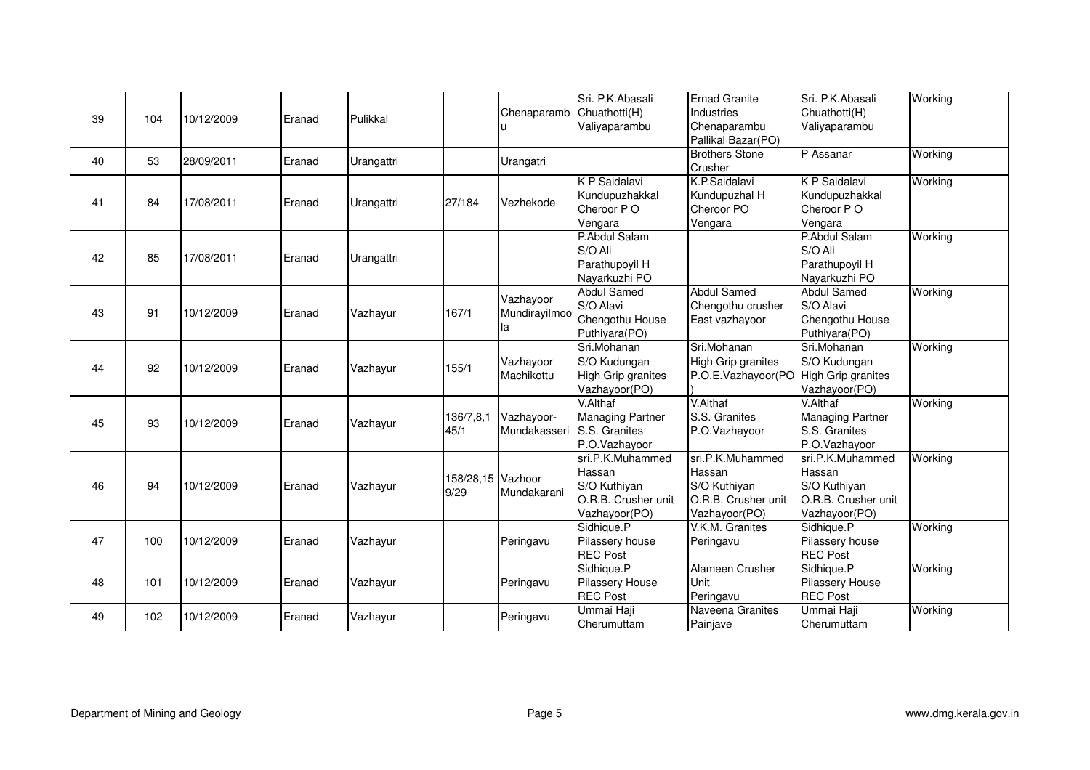| 39 | 104 | 10/12/2009 | Eranad | Pulikkal   |                           | Chenaparamb                      | Sri. P.K. Abasali<br>Chuathotti(H)<br>Valiyaparambu                                | <b>Ernad Granite</b><br>Industries<br>Chenaparambu<br>Pallikal Bazar(PO)           | Sri. P.K. Abasali<br>Chuathotti(H)<br>Valiyaparambu                                | Working |
|----|-----|------------|--------|------------|---------------------------|----------------------------------|------------------------------------------------------------------------------------|------------------------------------------------------------------------------------|------------------------------------------------------------------------------------|---------|
| 40 | 53  | 28/09/2011 | Eranad | Urangattri |                           | Urangatri                        |                                                                                    | <b>Brothers Stone</b><br>Crusher                                                   | P Assanar                                                                          | Working |
| 41 | 84  | 17/08/2011 | Eranad | Urangattri | 27/184                    | Vezhekode                        | <b>K P Saidalavi</b><br>Kundupuzhakkal<br>Cheroor PO<br>Vengara                    | K.P.Saidalavi<br>Kundupuzhal H<br>Cheroor PO<br>Vengara                            | <b>K P Saidalavi</b><br>Kundupuzhakkal<br>Cheroor PO<br>Vengara                    | Working |
| 42 | 85  | 17/08/2011 | Eranad | Urangattri |                           |                                  | P.Abdul Salam<br>S/O Ali<br>Parathupoyil H<br>Nayarkuzhi PO                        |                                                                                    | P.Abdul Salam<br>S/O Ali<br>Parathupoyil H<br>Nayarkuzhi PO                        | Working |
| 43 | 91  | 10/12/2009 | Eranad | Vazhayur   | 167/1                     | Vazhayoor<br>Mundirayilmoo<br>la | <b>Abdul Samed</b><br>S/O Alavi<br>Chengothu House<br>Puthiyara(PO)                | <b>Abdul Samed</b><br>Chengothu crusher<br>East vazhayoor                          | <b>Abdul Samed</b><br>S/O Alavi<br>Chengothu House<br>Puthiyara(PO)                | Working |
| 44 | 92  | 10/12/2009 | Eranad | Vazhayur   | 155/1                     | Vazhayoor<br>Machikottu          | Sri.Mohanan<br>S/O Kudungan<br>High Grip granites<br>Vazhayoor(PO)                 | Sri.Mohanan<br><b>High Grip granites</b><br>P.O.E.Vazhayoor(PO                     | Sri.Mohanan<br>S/O Kudungan<br>High Grip granites<br>Vazhayoor(PO)                 | Working |
| 45 | 93  | 10/12/2009 | Eranad | Vazhayur   | 136/7,8,1<br>45/1         | Vazhayoor-<br>Mundakasseri       | V.Althaf<br><b>Managing Partner</b><br>S.S. Granites<br>P.O.Vazhayoor              | V.Althaf<br>S.S. Granites<br>P.O.Vazhayoor                                         | V.Althaf<br><b>Managing Partner</b><br>S.S. Granites<br>P.O.Vazhayoor              | Working |
| 46 | 94  | 10/12/2009 | Eranad | Vazhayur   | 158/28,15 Vazhoor<br>9/29 | Mundakarani                      | sri.P.K.Muhammed<br>Hassan<br>S/O Kuthiyan<br>O.R.B. Crusher unit<br>Vazhayoor(PO) | sri.P.K.Muhammed<br>Hassan<br>S/O Kuthiyan<br>O.R.B. Crusher unit<br>Vazhayoor(PO) | sri.P.K.Muhammed<br>Hassan<br>S/O Kuthiyan<br>O.R.B. Crusher unit<br>Vazhayoor(PO) | Working |
| 47 | 100 | 10/12/2009 | Eranad | Vazhayur   |                           | Peringavu                        | Sidhique.P<br>Pilassery house<br><b>REC Post</b>                                   | V.K.M. Granites<br>Peringavu                                                       | Sidhique.P<br>Pilassery house<br><b>REC Post</b>                                   | Working |
| 48 | 101 | 10/12/2009 | Eranad | Vazhayur   |                           | Peringavu                        | Sidhique.P<br>Pilassery House<br><b>REC Post</b>                                   | Alameen Crusher<br>Unit<br>Peringavu                                               | Sidhique.P<br>Pilassery House<br><b>REC Post</b>                                   | Working |
| 49 | 102 | 10/12/2009 | Eranad | Vazhayur   |                           | Peringavu                        | Ummai Haji<br>Cherumuttam                                                          | Naveena Granites<br>Painjave                                                       | Ummai Haji<br>Cherumuttam                                                          | Working |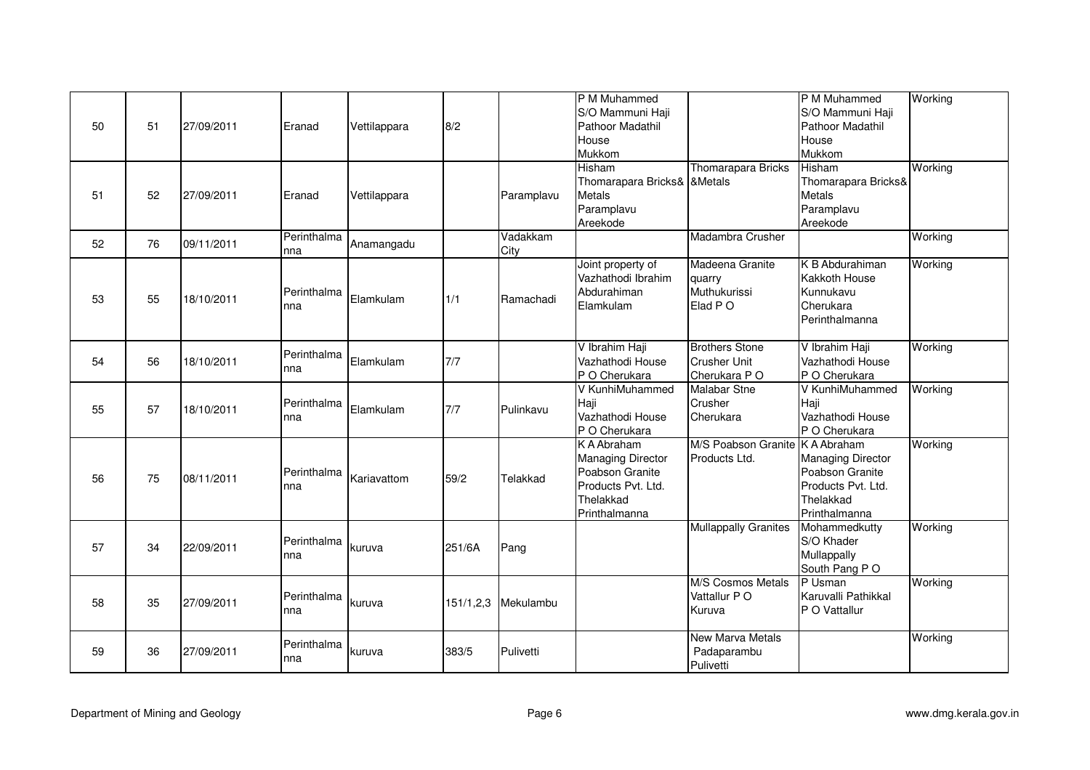| 50 | 51 | 27/09/2011 | Eranad             | Vettilappara | 8/2         |                  | P M Muhammed<br>S/O Mammuni Haji<br>Pathoor Madathil<br>House<br>Mukkom                                 |                                                              | P M Muhammed<br>S/O Mammuni Haji<br>Pathoor Madathil<br>House<br>Mukkom                                 | Working |
|----|----|------------|--------------------|--------------|-------------|------------------|---------------------------------------------------------------------------------------------------------|--------------------------------------------------------------|---------------------------------------------------------------------------------------------------------|---------|
| 51 | 52 | 27/09/2011 | Eranad             | Vettilappara |             | Paramplavu       | Hisham<br>Thomarapara Bricks& & Metals<br>Metals<br>Paramplavu<br>Areekode                              | <b>Thomarapara Bricks</b>                                    | Hisham<br>Thomarapara Bricks&<br><b>Metals</b><br>Paramplavu<br>Areekode                                | Working |
| 52 | 76 | 09/11/2011 | Perinthalma<br>nna | Anamangadu   |             | Vadakkam<br>City |                                                                                                         | Madambra Crusher                                             |                                                                                                         | Working |
| 53 | 55 | 18/10/2011 | Perinthalma<br>nna | Elamkulam    | 1/1         | Ramachadi        | Joint property of<br>Vazhathodi Ibrahim<br>Abdurahiman<br>Elamkulam                                     | Madeena Granite<br>quarry<br>Muthukurissi<br>Elad PO         | K B Abdurahiman<br>Kakkoth House<br>Kunnukavu<br>Cherukara<br>Perinthalmanna                            | Working |
| 54 | 56 | 18/10/2011 | Perinthalma<br>nna | Elamkulam    | 7/7         |                  | V Ibrahim Haji<br>Vazhathodi House<br>P O Cherukara                                                     | <b>Brothers Stone</b><br><b>Crusher Unit</b><br>Cherukara PO | V Ibrahim Haji<br>Vazhathodi House<br>P O Cherukara                                                     | Working |
| 55 | 57 | 18/10/2011 | Perinthalma<br>nna | Elamkulam    | 7/7         | Pulinkavu        | V KunhiMuhammed<br>Haji<br>Vazhathodi House<br>P O Cherukara                                            | <b>Malabar Stne</b><br>Crusher<br>Cherukara                  | V KunhiMuhammed<br>Haji<br>Vazhathodi House<br>P O Cherukara                                            | Working |
| 56 | 75 | 08/11/2011 | Perinthalma<br>nna | Kariavattom  | 59/2        | Telakkad         | K A Abraham<br>Managing Director<br>Poabson Granite<br>Products Pvt. Ltd.<br>Thelakkad<br>Printhalmanna | M/S Poabson Granite<br>Products Ltd.                         | K A Abraham<br>Managing Director<br>Poabson Granite<br>Products Pvt. Ltd.<br>Thelakkad<br>Printhalmanna | Working |
| 57 | 34 | 22/09/2011 | Perinthalma<br>nna | kuruva       | 251/6A      | Pang             |                                                                                                         | <b>Mullappally Granites</b>                                  | Mohammedkutty<br>S/O Khader<br>Mullappally<br>South Pang PO                                             | Working |
| 58 | 35 | 27/09/2011 | Perinthalma<br>nna | kuruva       | 151/1, 2, 3 | Mekulambu        |                                                                                                         | M/S Cosmos Metals<br>Vattallur PO<br>Kuruva                  | P Usman<br>Karuvalli Pathikkal<br>P O Vattallur                                                         | Working |
| 59 | 36 | 27/09/2011 | Perinthalma<br>nna | kuruva       | 383/5       | Pulivetti        |                                                                                                         | <b>New Marva Metals</b><br>Padaparambu<br>Pulivetti          |                                                                                                         | Working |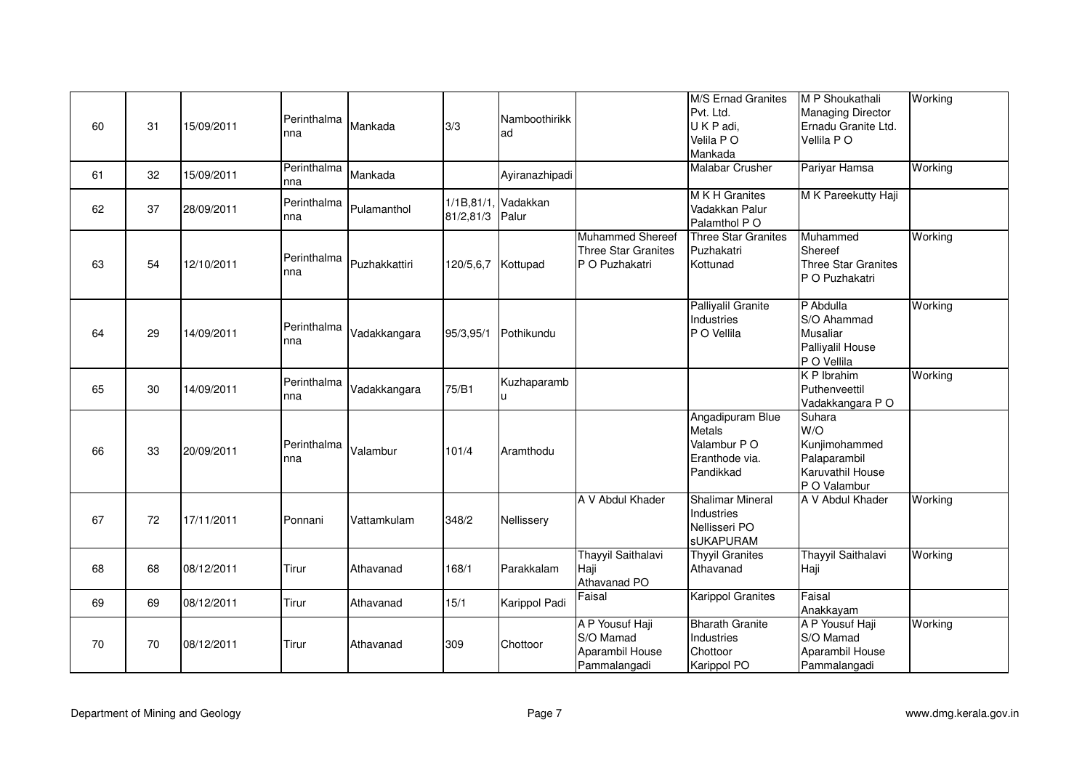| 60 | 31 | 15/09/2011 | Perinthalma<br>nna | Mankada       | 3/3                      | Namboothirikk<br>ad |                                                                  | M/S Ernad Granites<br>Pvt. Ltd.<br>UKP adi,<br>Velila PO<br>Mankada             | M P Shoukathali<br>Managing Director<br>Ernadu Granite Ltd.<br>Vellila PO          | Working |
|----|----|------------|--------------------|---------------|--------------------------|---------------------|------------------------------------------------------------------|---------------------------------------------------------------------------------|------------------------------------------------------------------------------------|---------|
| 61 | 32 | 15/09/2011 | Perinthalma<br>nna | Mankada       |                          | Ayiranazhipadi      |                                                                  | <b>Malabar Crusher</b>                                                          | Pariyar Hamsa                                                                      | Working |
| 62 | 37 | 28/09/2011 | Perinthalma<br>nna | Pulamanthol   | 1/1B, 81/1.<br>81/2,81/3 | Vadakkan<br>Palur   |                                                                  | M K H Granites<br>Vadakkan Palur<br>Palamthol PO                                | M K Pareekutty Haji                                                                |         |
| 63 | 54 | 12/10/2011 | Perinthalma<br>nna | Puzhakkattiri | 120/5,6,7                | Kottupad            | Muhammed Shereef<br><b>Three Star Granites</b><br>P O Puzhakatri | <b>Three Star Granites</b><br>Puzhakatri<br>Kottunad                            | Muhammed<br>Shereef<br><b>Three Star Granites</b><br>P O Puzhakatri                | Working |
| 64 | 29 | 14/09/2011 | Perinthalma<br>nna | Vadakkangara  | 95/3,95/1                | Pothikundu          |                                                                  | Palliyalil Granite<br>Industries<br>P O Vellila                                 | P Abdulla<br>S/O Ahammad<br><b>Musaliar</b><br>Palliyalil House<br>P O Vellila     | Working |
| 65 | 30 | 14/09/2011 | Perinthalma<br>nna | Vadakkangara  | 75/B1                    | Kuzhaparamb         |                                                                  |                                                                                 | <b>KP</b> Ibrahim<br>Puthenveettil<br>Vadakkangara PO                              | Working |
| 66 | 33 | 20/09/2011 | Perinthalma<br>nna | Valambur      | 101/4                    | Aramthodu           |                                                                  | Angadipuram Blue<br><b>Metals</b><br>Valambur PO<br>Eranthode via.<br>Pandikkad | Suhara<br>W/O<br>Kunjimohammed<br>Palaparambil<br>Karuvathil House<br>P O Valambur |         |
| 67 | 72 | 17/11/2011 | Ponnani            | Vattamkulam   | 348/2                    | Nellissery          | A V Abdul Khader                                                 | <b>Shalimar Mineral</b><br>Industries<br>Nellisseri PO<br><b>sUKAPURAM</b>      | A V Abdul Khader                                                                   | Working |
| 68 | 68 | 08/12/2011 | Tirur              | Athavanad     | 168/1                    | Parakkalam          | <b>Thayyil Saithalavi</b><br>Haji<br>Athavanad PO                | <b>Thyyil Granites</b><br>Athavanad                                             | <b>Thayyil Saithalavi</b><br>Haji                                                  | Working |
| 69 | 69 | 08/12/2011 | Tirur              | Athavanad     | 15/1                     | Karippol Padi       | Faisal                                                           | <b>Karippol Granites</b>                                                        | Faisal<br>Anakkayam                                                                |         |
| 70 | 70 | 08/12/2011 | Tirur              | Athavanad     | 309                      | Chottoor            | A P Yousuf Haji<br>S/O Mamad<br>Aparambil House<br>Pammalangadi  | <b>Bharath Granite</b><br>Industries<br>Chottoor<br>Karippol PO                 | A P Yousuf Haji<br>S/O Mamad<br>Aparambil House<br>Pammalangadi                    | Working |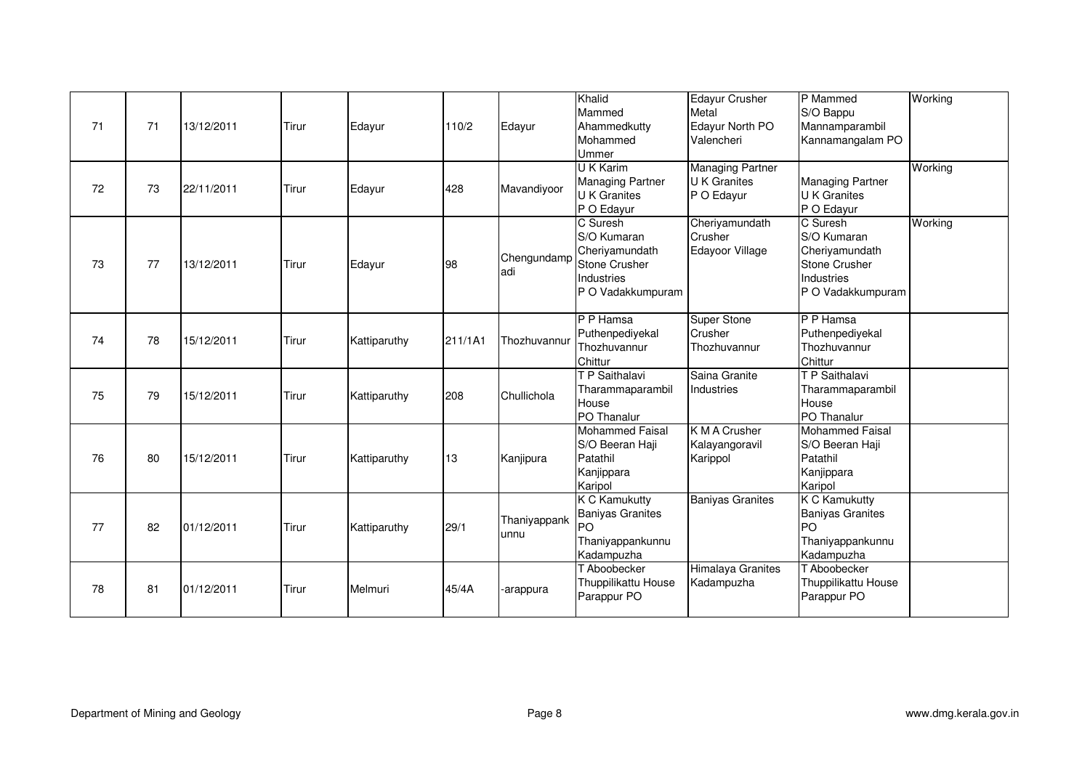| 71 | 71 | 13/12/2011 | Tirur | Edayur       | 110/2   | Edayur               | Khalid<br>Mammed<br>Ahammedkutty<br>Mohammed<br><b>Ummer</b><br><b>UK Karim</b>               | <b>Edayur Crusher</b><br>Metal<br>Edayur North PO<br>Valencheri<br>Managing Partner | P Mammed<br>S/O Bappu<br>Mannamparambil<br>Kannamangalam PO                                   | Working<br>Working |
|----|----|------------|-------|--------------|---------|----------------------|-----------------------------------------------------------------------------------------------|-------------------------------------------------------------------------------------|-----------------------------------------------------------------------------------------------|--------------------|
| 72 | 73 | 22/11/2011 | Tirur | Edayur       | 428     | Mavandiyoor          | <b>Managing Partner</b><br><b>U</b> K Granites<br>P O Edayur                                  | <b>U</b> K Granites<br>P O Edayur                                                   | <b>Managing Partner</b><br><b>U</b> K Granites<br>P O Edayur                                  |                    |
| 73 | 77 | 13/12/2011 | Tirur | Edayur       | 98      | Chengundamp<br>adi   | C Suresh<br>S/O Kumaran<br>Cheriyamundath<br>Stone Crusher<br>Industries<br>P O Vadakkumpuram | Cheriyamundath<br>Crusher<br>Edayoor Village                                        | C Suresh<br>S/O Kumaran<br>Cheriyamundath<br>Stone Crusher<br>Industries<br>P O Vadakkumpuram | Working            |
| 74 | 78 | 15/12/2011 | Tirur | Kattiparuthy | 211/1A1 | Thozhuvannur         | P P Hamsa<br>Puthenpediyekal<br>Thozhuvannur<br>Chittur                                       | <b>Super Stone</b><br>Crusher<br>Thozhuvannur                                       | P P Hamsa<br>Puthenpediyekal<br>Thozhuvannur<br>Chittur                                       |                    |
| 75 | 79 | 15/12/2011 | Tirur | Kattiparuthy | 208     | Chullichola          | T P Saithalavi<br>Tharammaparambil<br>House<br>PO Thanalur                                    | Saina Granite<br>Industries                                                         | T P Saithalavi<br>Tharammaparambil<br>House<br>PO Thanalur                                    |                    |
| 76 | 80 | 15/12/2011 | Tirur | Kattiparuthy | 13      | Kanjipura            | Mohammed Faisal<br>S/O Beeran Haji<br>Patathil<br>Kanjippara<br>Karipol                       | K M A Crusher<br>Kalayangoravil<br>Karippol                                         | Mohammed Faisal<br>S/O Beeran Haji<br>Patathil<br>Kanjippara<br>Karipol                       |                    |
| 77 | 82 | 01/12/2011 | Tirur | Kattiparuthy | 29/1    | Thaniyappank<br>unnu | <b>K C Kamukutty</b><br><b>Baniyas Granites</b><br>PO<br>Thaniyappankunnu<br>Kadampuzha       | <b>Baniyas Granites</b>                                                             | <b>K C Kamukutty</b><br><b>Baniyas Granites</b><br>PO<br>Thaniyappankunnu<br>Kadampuzha       |                    |
| 78 | 81 | 01/12/2011 | Tirur | Melmuri      | 45/4A   | -arappura            | T Aboobecker<br>Thuppilikattu House<br>Parappur PO                                            | Himalaya Granites<br>Kadampuzha                                                     | T Aboobecker<br>Thuppilikattu House<br>Parappur PO                                            |                    |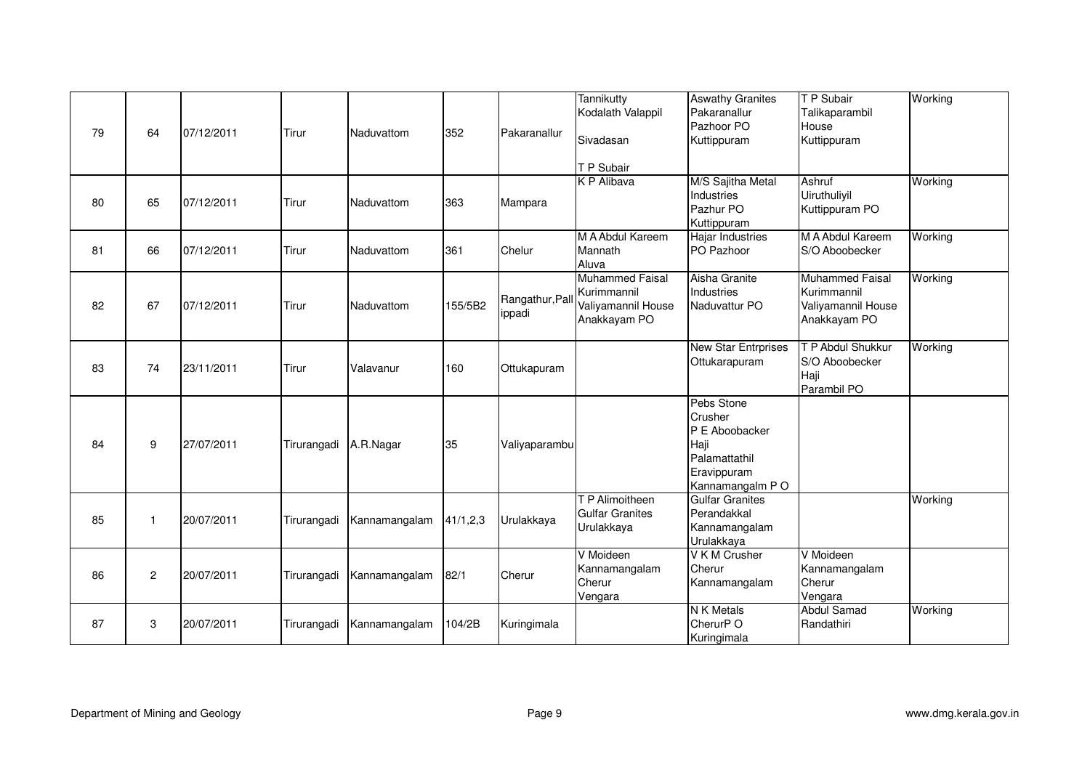| 79 | 64             | 07/12/2011 | Tirur       | Naduvattom    | 352        | Pakaranallur             | <b>Tannikutty</b><br>Kodalath Valappil<br>Sivadasan<br>T P Subair           | <b>Aswathy Granites</b><br>Pakaranallur<br>Pazhoor PO<br>Kuttippuram                               | T P Subair<br>Talikaparambil<br>House<br>Kuttippuram                        | Working |
|----|----------------|------------|-------------|---------------|------------|--------------------------|-----------------------------------------------------------------------------|----------------------------------------------------------------------------------------------------|-----------------------------------------------------------------------------|---------|
| 80 | 65             | 07/12/2011 | Tirur       | Naduvattom    | 363        | Mampara                  | K P Alibava                                                                 | M/S Sajitha Metal<br>Industries<br>Pazhur PO<br>Kuttippuram                                        | Ashruf<br>Uiruthuliyil<br>Kuttippuram PO                                    | Working |
| 81 | 66             | 07/12/2011 | Tirur       | Naduvattom    | 361        | Chelur                   | M A Abdul Kareem<br>Mannath<br>Aluva                                        | <b>Hajar Industries</b><br>PO Pazhoor                                                              | M A Abdul Kareem<br>S/O Aboobecker                                          | Working |
| 82 | 67             | 07/12/2011 | Tirur       | Naduvattom    | 155/5B2    | Rangathur, Pal<br>ippadi | <b>Muhammed Faisal</b><br>Kurimmannil<br>Valiyamannil House<br>Anakkayam PO | Aisha Granite<br>Industries<br>Naduvattur PO                                                       | <b>Muhammed Faisal</b><br>Kurimmannil<br>Valiyamannil House<br>Anakkayam PO | Working |
| 83 | 74             | 23/11/2011 | Tirur       | Valavanur     | 160        | Ottukapuram              |                                                                             | New Star Entrprises<br>Ottukarapuram                                                               | T P Abdul Shukkur<br>S/O Aboobecker<br>Haji<br>Parambil PO                  | Working |
| 84 | 9              | 27/07/2011 | Tirurangadi | A.R.Nagar     | 35         | Valiyaparambu            |                                                                             | Pebs Stone<br>Crusher<br>P E Aboobacker<br>Haji<br>Palamattathil<br>Eravippuram<br>Kannamangalm PO |                                                                             |         |
| 85 | $\mathbf{1}$   | 20/07/2011 | Tirurangadi | Kannamangalam | 41/1, 2, 3 | Urulakkaya               | T P Alimoitheen<br><b>Gulfar Granites</b><br>Urulakkaya                     | <b>Gulfar Granites</b><br>Perandakkal<br>Kannamangalam<br>Urulakkaya                               |                                                                             | Working |
| 86 | $\overline{c}$ | 20/07/2011 | Tirurangadi | Kannamangalam | 82/1       | Cherur                   | V Moideen<br>Kannamangalam<br>Cherur<br>Vengara                             | V K M Crusher<br>Cherur<br>Kannamangalam                                                           | V Moideen<br>Kannamangalam<br>Cherur<br>Vengara                             |         |
| 87 | 3              | 20/07/2011 | Tirurangadi | Kannamangalam | 104/2B     | Kuringimala              |                                                                             | <b>N</b> K Metals<br>CherurP O<br>Kuringimala                                                      | <b>Abdul Samad</b><br>Randathiri                                            | Working |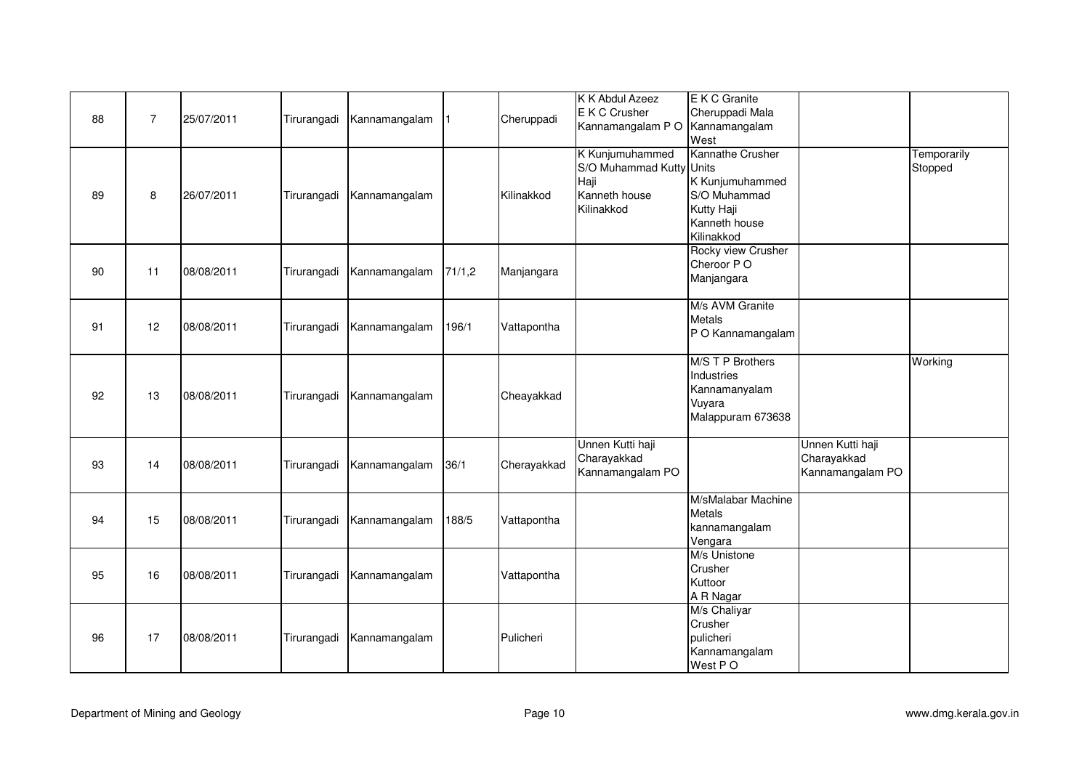| 88 | $\overline{7}$ | 25/07/2011 | Tirurangadi | Kannamangalam |        | Cheruppadi  | K K Abdul Azeez<br>E K C Crusher<br>Kannamangalam PO                               | E K C Granite<br>Cheruppadi Mala<br>Kannamangalam<br>West                                        |                                                     |                        |
|----|----------------|------------|-------------|---------------|--------|-------------|------------------------------------------------------------------------------------|--------------------------------------------------------------------------------------------------|-----------------------------------------------------|------------------------|
| 89 | 8              | 26/07/2011 | Tirurangadi | Kannamangalam |        | Kilinakkod  | K Kunjumuhammed<br>S/O Muhammad Kutty Units<br>Haji<br>Kanneth house<br>Kilinakkod | Kannathe Crusher<br>K Kunjumuhammed<br>S/O Muhammad<br>Kutty Haji<br>Kanneth house<br>Kilinakkod |                                                     | Temporarily<br>Stopped |
| 90 | 11             | 08/08/2011 | Tirurangadi | Kannamangalam | 71/1,2 | Manjangara  |                                                                                    | Rocky view Crusher<br>Cheroor PO<br>Manjangara                                                   |                                                     |                        |
| 91 | 12             | 08/08/2011 | Tirurangadi | Kannamangalam | 196/1  | Vattapontha |                                                                                    | M/s AVM Granite<br><b>Metals</b><br>P O Kannamangalam                                            |                                                     |                        |
| 92 | 13             | 08/08/2011 | Tirurangadi | Kannamangalam |        | Cheayakkad  |                                                                                    | M/S T P Brothers<br>Industries<br>Kannamanyalam<br>Vuyara<br>Malappuram 673638                   |                                                     | Working                |
| 93 | 14             | 08/08/2011 | Tirurangadi | Kannamangalam | 36/1   | Cherayakkad | Unnen Kutti haji<br>Charayakkad<br>Kannamangalam PO                                |                                                                                                  | Unnen Kutti haji<br>Charayakkad<br>Kannamangalam PO |                        |
| 94 | 15             | 08/08/2011 | Tirurangadi | Kannamangalam | 188/5  | Vattapontha |                                                                                    | M/sMalabar Machine<br><b>Metals</b><br>kannamangalam<br>Vengara                                  |                                                     |                        |
| 95 | 16             | 08/08/2011 | Tirurangadi | Kannamangalam |        | Vattapontha |                                                                                    | M/s Unistone<br>Crusher<br>Kuttoor<br>A R Nagar                                                  |                                                     |                        |
| 96 | 17             | 08/08/2011 | Tirurangadi | Kannamangalam |        | Pulicheri   |                                                                                    | M/s Chaliyar<br>Crusher<br>pulicheri<br>Kannamangalam<br>West PO                                 |                                                     |                        |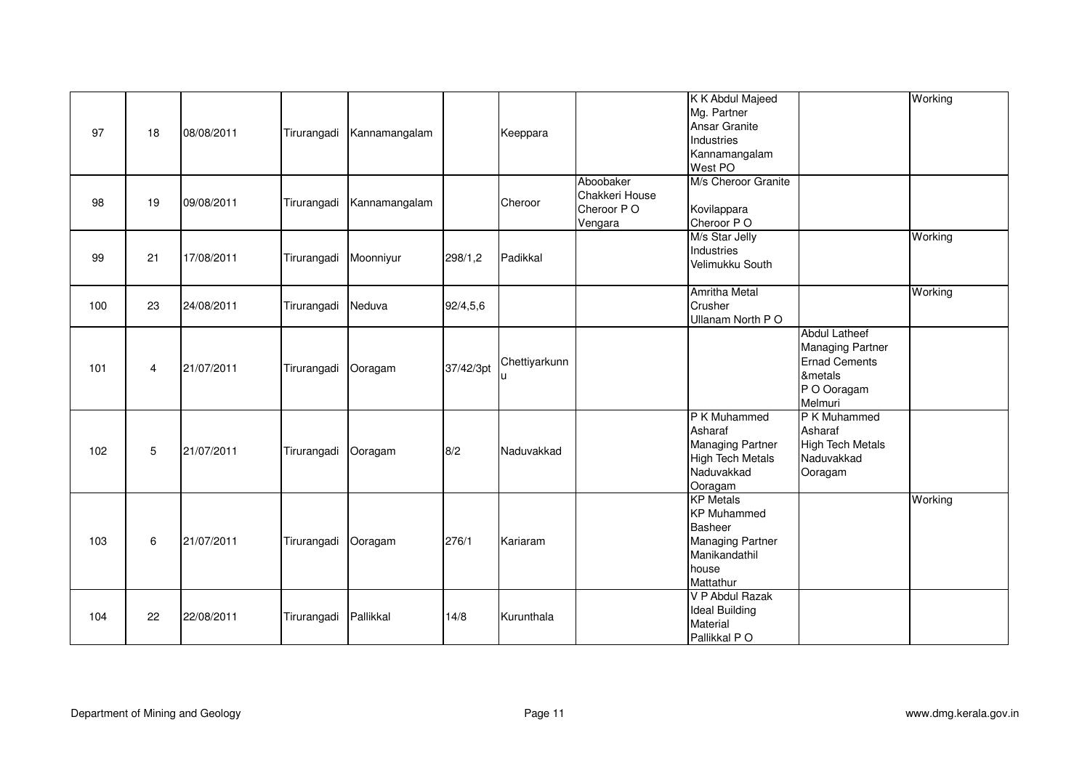| 97  | 18 | 08/08/2011 | Tirurangadi | Kannamangalam |           | Keeppara      |                                                      | K K Abdul Majeed<br>Mg. Partner<br>Ansar Granite<br>Industries<br>Kannamangalam<br>West PO                                 |                                                                                                              | Working |
|-----|----|------------|-------------|---------------|-----------|---------------|------------------------------------------------------|----------------------------------------------------------------------------------------------------------------------------|--------------------------------------------------------------------------------------------------------------|---------|
| 98  | 19 | 09/08/2011 | Tirurangadi | Kannamangalam |           | Cheroor       | Aboobaker<br>Chakkeri House<br>Cheroor PO<br>Vengara | M/s Cheroor Granite<br>Kovilappara<br>Cheroor PO                                                                           |                                                                                                              |         |
| 99  | 21 | 17/08/2011 | Tirurangadi | Moonniyur     | 298/1,2   | Padikkal      |                                                      | M/s Star Jelly<br>Industries<br>Velimukku South                                                                            |                                                                                                              | Working |
| 100 | 23 | 24/08/2011 | Tirurangadi | Neduva        | 92/4,5,6  |               |                                                      | <b>Amritha Metal</b><br>Crusher<br>Ullanam North PO                                                                        |                                                                                                              | Working |
| 101 | 4  | 21/07/2011 | Tirurangadi | Ooragam       | 37/42/3pt | Chettiyarkunn |                                                      |                                                                                                                            | <b>Abdul Latheef</b><br><b>Managing Partner</b><br><b>Ernad Cements</b><br>&metals<br>P O Ooragam<br>Melmuri |         |
| 102 | 5  | 21/07/2011 | Tirurangadi | Ooragam       | 8/2       | Naduvakkad    |                                                      | P K Muhammed<br>Asharaf<br><b>Managing Partner</b><br><b>High Tech Metals</b><br>Naduvakkad<br>Ooragam                     | P K Muhammed<br>Asharaf<br><b>High Tech Metals</b><br>Naduvakkad<br>Ooragam                                  |         |
| 103 | 6  | 21/07/2011 | Tirurangadi | Ooragam       | 276/1     | Kariaram      |                                                      | <b>KP</b> Metals<br><b>KP Muhammed</b><br><b>Basheer</b><br><b>Managing Partner</b><br>Manikandathil<br>house<br>Mattathur |                                                                                                              | Working |
| 104 | 22 | 22/08/2011 | Tirurangadi | Pallikkal     | 14/8      | Kurunthala    |                                                      | V P Abdul Razak<br><b>Ideal Building</b><br>Material<br>Pallikkal PO                                                       |                                                                                                              |         |